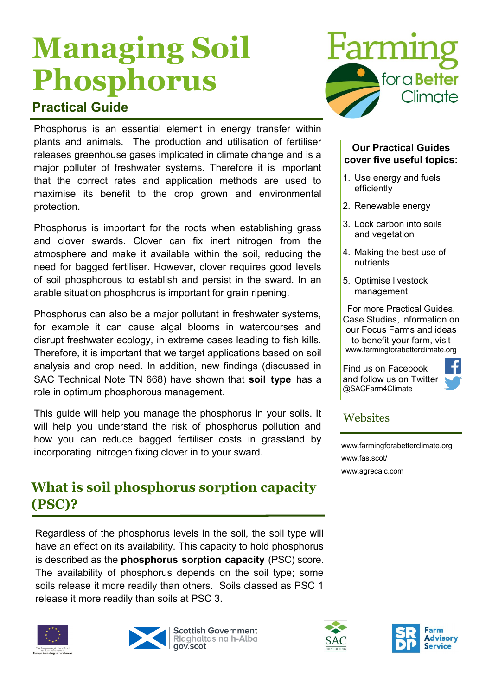# **Managing Soil Phosphorus**

## **Practical Guide**

Phosphorus is an essential element in energy transfer within plants and animals. The production and utilisation of fertiliser releases greenhouse gases implicated in climate change and is a major polluter of freshwater systems. Therefore it is important that the correct rates and application methods are used to maximise its benefit to the crop grown and environmental protection.

Phosphorus is important for the roots when establishing grass and clover swards. Clover can fix inert nitrogen from the atmosphere and make it available within the soil, reducing the need for bagged fertiliser. However, clover requires good levels of soil phosphorous to establish and persist in the sward. In an arable situation phosphorus is important for grain ripening.

Phosphorus can also be a major pollutant in freshwater systems, for example it can cause algal blooms in watercourses and disrupt freshwater ecology, in extreme cases leading to fish kills. Therefore, it is important that we target applications based on soil analysis and crop need. In addition, new findings (discussed in SAC Technical Note TN 668) have shown that **soil type** has a role in optimum phosphorous management.

This guide will help you manage the phosphorus in your soils. It will help you understand the risk of phosphorus pollution and how you can reduce bagged fertiliser costs in grassland by incorporating nitrogen fixing clover in to your sward.

## **What is soil phosphorus sorption capacity (PSC)?**

Regardless of the phosphorus levels in the soil, the soil type will have an effect on its availability. This capacity to hold phosphorus is described as the **phosphorus sorption capacity** (PSC) score. The availability of phosphorus depends on the soil type; some soils release it more readily than others. Soils classed as PSC 1 release it more readily than soils at PSC 3.









#### **Our Practical Guides cover five useful topics:**

- 1. Use energy and fuels efficiently
- 2. Renewable energy
- 3. Lock carbon into soils and vegetation
- 4. Making the best use of nutrients
- 5. Optimise livestock management

For more Practical Guides, Case Studies, information on our Focus Farms and ideas to benefit your farm, visit www.farmingforabetterclimate.org

Find us on Facebook and follow us on Twitter @SACFarm4Climate



#### **Websites**

[www.farmingforabetterclimate.org](http://www.farmingforabetterclimate.org) www.fas.scot/ [www.agrecalc.com](http://www.agrecalc.com)



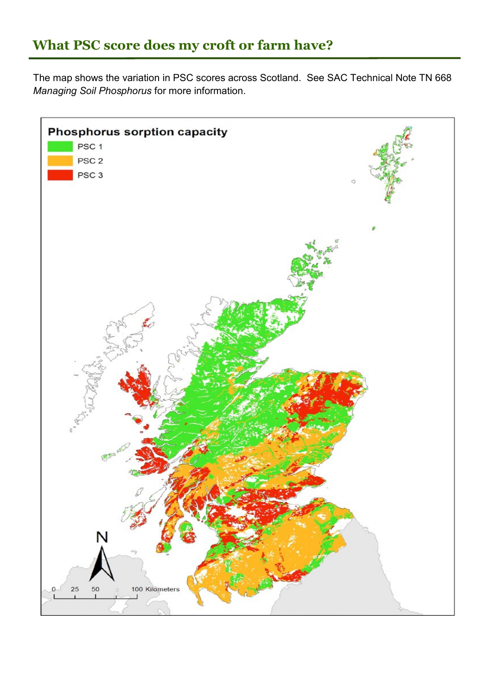## **What PSC score does my croft or farm have?**

The map shows the variation in PSC scores across Scotland. See SAC Technical Note TN 668 *Managing Soil Phosphorus* for more information.

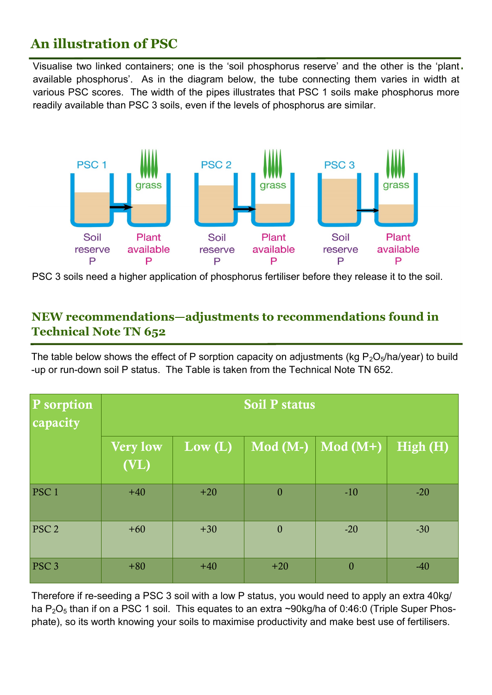## **An illustration of PSC**

Visualise two linked containers; one is the 'soil phosphorus reserve' and the other is the 'plant available phosphorus'. As in the diagram below, the tube connecting them varies in width at various PSC scores. The width of the pipes illustrates that PSC 1 soils make phosphorus more readily available than PSC 3 soils, even if the levels of phosphorus are similar.



PSC 3 soils need a higher application of phosphorus fertiliser before they release it to the soil.

#### **NEW recommendations—adjustments to recommendations found in Technical Note TN 652**

The table below shows the effect of P sorption capacity on adjustments (kg  $P_2O_5/ha/year$ ) to build -up or run-down soil P status. The Table is taken from the Technical Note TN 652.

| P sorption<br>capacity | <b>Soil P status</b> |                        |                  |                  |          |
|------------------------|----------------------|------------------------|------------------|------------------|----------|
|                        | Very low<br>(VL)     | $\text{Low} (\bar{L})$ | $Mod(M-)$        | $Mod(M+)$        | High (H) |
| PSC <sub>1</sub>       | $+40$                | $+20$                  | $\boldsymbol{0}$ | $-10$            | $-20$    |
| PSC <sub>2</sub>       | $+60$                | $+30$                  | $\mathbf{0}$     | $-20$            | $-30$    |
| PSC <sub>3</sub>       | $+80$                | $+40$                  | $+20$            | $\boldsymbol{0}$ | $-40$    |

Therefore if re-seeding a PSC 3 soil with a low P status, you would need to apply an extra 40kg/ ha  $P_2O_5$  than if on a PSC 1 soil. This equates to an extra ~90kg/ha of 0.46:0 (Triple Super Phosphate), so its worth knowing your soils to maximise productivity and make best use of fertilisers.